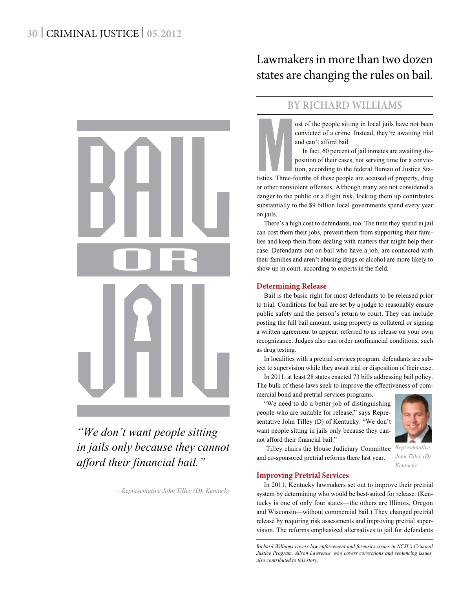

*"We don't want people sitting in jails only because they cannot afford their financial bail."*

*—Representative John Tilley (D), Kentucky*

# Lawmakers in more than two dozen states are changing the rules on bail.

### **By Richard Williams**

ost of the people sitting in local jails have not been<br>convicted of a crime. Instead, they're awaiting trial<br>and can't afford bail.<br>In fact, 60 percent of jail inmates are awaiting dis-<br>position of their cases, not serving ost of the people sitting in local jails have not been convicted of a crime. Instead, they're awaiting trial and can't afford bail.

In fact, 60 percent of jail inmates are awaiting disposition of their cases, not serving time for a conviction, according to the federal Bureau of Justice Sta-

or other nonviolent offenses. Although many are not considered a danger to the public or a flight risk, locking them up contributes substantially to the \$9 billion local governments spend every year on jails.

There's a high cost to defendants, too. The time they spend in jail can cost them their jobs, prevent them from supporting their families and keep them from dealing with matters that might help their case. Defendants out on bail who have a job, are connected with their families and aren't abusing drugs or alcohol are more likely to show up in court, according to experts in the field.

#### **Determining Release**

Bail is the basic right for most defendants to be released prior to trial. Conditions for bail are set by a judge to reasonably ensure public safety and the person's return to court. They can include posting the full bail amount, using property as collateral or signing a written agreement to appear, referred to as release on your own recognizance. Judges also can order nonfinancial conditions, such as drug testing.

In localities with a pretrial services program, defendants are subject to supervision while they await trial or disposition of their case.

In 2011, at least 28 states enacted 73 bills addressing bail policy. The bulk of these laws seek to improve the effectiveness of commercial bond and pretrial services programs.

"We need to do a better job of distinguishing people who are suitable for release," says Representative John Tilley (D) of Kentucky. "We don't want people sitting in jails only because they cannot afford their financial bail."



 Tilley chairs the House Judiciary Committee *Representative*  and co-sponsored pretrial reforms there last year.

*John Tilley (D) Kentucky*

#### **Improving Pretrial Services**

In 2011, Kentucky lawmakers set out to improve their pretrial system by determining who would be best-suited for release. (Kentucky is one of only four states—the others are Illinois, Oregon and Wisconsin—without commercial bail.) They changed pretrial release by requiring risk assessments and improving pretrial supervision. The reforms emphasized alternatives to jail for defendants

*Richard Williams covers law enforcement and forensics issues in NCSL's Criminal Justice Program. Alison Lawrence, who covers corrections and sentencing issues, also contributed to this story.*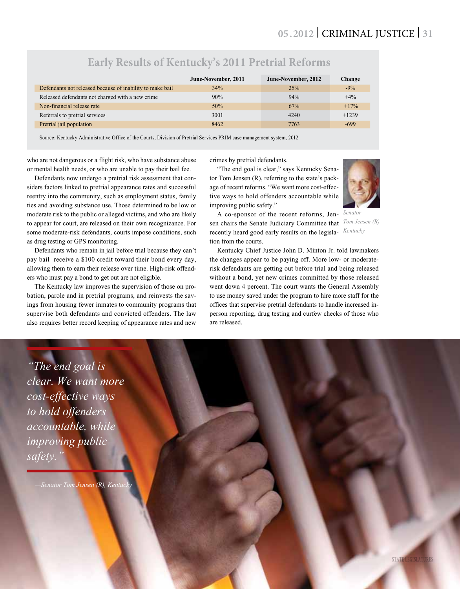|                                                           | June-November, 2011 | June-November, 2012 | Change  |
|-----------------------------------------------------------|---------------------|---------------------|---------|
| Defendants not released because of inability to make bail | 34%                 | 25%                 | $-9\%$  |
| Released defendants not charged with a new crime          | 90%                 | 94%                 | $+4%$   |
| Non-financial release rate                                | 50%                 | 67%                 | $+17%$  |
| Referrals to pretrial services                            | 3001                | 4240                | $+1239$ |
| Pretrial jail population                                  | 8462                | 7763                | $-699$  |

## **Early Results of Kentucky's 2011 Pretrial Reforms**

Source: Kentucky Administrative Office of the Courts, Division of Pretrial Services PRIM case management system, 2012

who are not dangerous or a flight risk, who have substance abuse or mental health needs, or who are unable to pay their bail fee.

Defendants now undergo a pretrial risk assessment that considers factors linked to pretrial appearance rates and successful reentry into the community, such as employment status, family ties and avoiding substance use. Those determined to be low or moderate risk to the public or alleged victims, and who are likely to appear for court, are released on their own recognizance. For some moderate-risk defendants, courts impose conditions, such as drug testing or GPS monitoring.

Defendants who remain in jail before trial because they can't pay bail receive a \$100 credit toward their bond every day, allowing them to earn their release over time. High-risk offenders who must pay a bond to get out are not eligible.

The Kentucky law improves the supervision of those on probation, parole and in pretrial programs, and reinvests the savings from housing fewer inmates to community programs that supervise both defendants and convicted offenders. The law also requires better record keeping of appearance rates and new crimes by pretrial defendants.

"The end goal is clear," says Kentucky Senator Tom Jensen (R), referring to the state's package of recent reforms. "We want more cost-effective ways to hold offenders accountable while improving public safety."



A co-sponsor of the recent reforms, Jen-*Senator* sen chairs the Senate Judiciary Committee that *Tom Jensen (R)* recently heard good early results on the legisla-*Kentucky* tion from the courts.

Kentucky Chief Justice John D. Minton Jr. told lawmakers the changes appear to be paying off. More low- or moderaterisk defendants are getting out before trial and being released without a bond, yet new crimes committed by those released went down 4 percent. The court wants the General Assembly to use money saved under the program to hire more staff for the offices that supervise pretrial defendants to handle increased inperson reporting, drug testing and curfew checks of those who are released.

*"The end goal is clear. We want more cost-effective ways to hold offenders accountable, while improving public safety."*

**Senator Tom Jensen (R), Kenti**